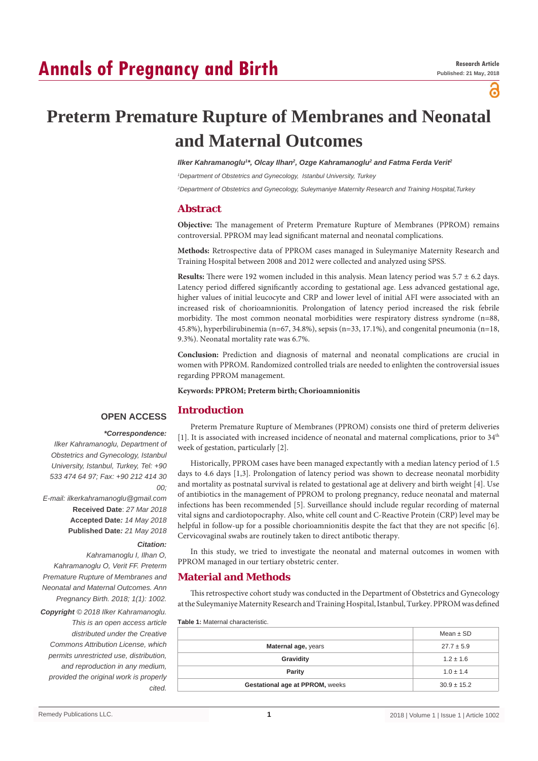# **Annals of Pregnancy and Birth**

പ്പ

# **Preterm Premature Rupture of Membranes and Neonatal and Maternal Outcomes**

*Ilker Kahramanoglu'\*, Olcay Ilhan<sup>2</sup>, Ozge Kahramanoglu<sup>2</sup> and Fatma Ferda Veriť* 

*1 Department of Obstetrics and Gynecology, Istanbul University, Turkey*

*2 Department of Obstetrics and Gynecology, Suleymaniye Maternity Research and Training Hospital,Turkey*

#### **Abstract**

**Objective:** The management of Preterm Premature Rupture of Membranes (PPROM) remains controversial. PPROM may lead significant maternal and neonatal complications.

**Methods:** Retrospective data of PPROM cases managed in Suleymaniye Maternity Research and Training Hospital between 2008 and 2012 were collected and analyzed using SPSS.

**Results:** There were 192 women included in this analysis. Mean latency period was 5.7 ± 6.2 days. Latency period differed significantly according to gestational age. Less advanced gestational age, higher values of initial leucocyte and CRP and lower level of initial AFI were associated with an increased risk of chorioamnionitis. Prolongation of latency period increased the risk febrile morbidity. The most common neonatal morbidities were respiratory distress syndrome (n=88, 45.8%), hyperbilirubinemia (n=67, 34.8%), sepsis (n=33, 17.1%), and congenital pneumonia (n=18, 9.3%). Neonatal mortality rate was 6.7%.

**Conclusion:** Prediction and diagnosis of maternal and neonatal complications are crucial in women with PPROM. Randomized controlled trials are needed to enlighten the controversial issues regarding PPROM management.

**Keywords: PPROM; Preterm birth; Chorioamnionitis**

#### **Introduction**

### **OPEN ACCESS**

 *\*Correspondence: Ilker Kahramanoglu, Department of Obstetrics and Gynecology, Istanbul University, Istanbul, Turkey, Tel: +90 533 474 64 97; Fax: +90 212 414 30 00; E-mail: ilkerkahramanoglu@gmail.com*

**Received Date**: *27 Mar 2018* **Accepted Date***: 14 May 2018* **Published Date***: 21 May 2018*

#### *Citation:*

*Kahramanoglu I, Ilhan O, Kahramanoglu O, Verit FF. Preterm Premature Rupture of Membranes and Neonatal and Maternal Outcomes. Ann Pregnancy Birth. 2018; 1(1): 1002.*

*Copyright © 2018 Ilker Kahramanoglu. This is an open access article distributed under the Creative Commons Attribution License, which permits unrestricted use, distribution, and reproduction in any medium, provided the original work is properly cited.*

Preterm Premature Rupture of Membranes (PPROM) consists one third of preterm deliveries [1]. It is associated with increased incidence of neonatal and maternal complications, prior to 34<sup>th</sup> week of gestation, particularly [2].

Historically, PPROM cases have been managed expectantly with a median latency period of 1.5 days to 4.6 days [1,3]. Prolongation of latency period was shown to decrease neonatal morbidity and mortality as postnatal survival is related to gestational age at delivery and birth weight [4]. Use of antibiotics in the management of PPROM to prolong pregnancy, reduce neonatal and maternal infections has been recommended [5]. Surveillance should include regular recording of maternal vital signs and cardiotopocraphy. Also, white cell count and C-Reactive Protein (CRP) level may be helpful in follow-up for a possible chorioamnionitis despite the fact that they are not specific [6]. Cervicovaginal swabs are routinely taken to direct antibotic therapy.

In this study, we tried to investigate the neonatal and maternal outcomes in women with PPROM managed in our tertiary obstetric center.

#### **Material and Methods**

This retrospective cohort study was conducted in the Department of Obstetrics and Gynecology at the Suleymaniye Maternity Research and Training Hospital, Istanbul, Turkey. PPROM was defined

**Table 1:** Maternal characteristic.

|                                 | Mean $\pm$ SD   |
|---------------------------------|-----------------|
| Maternal age, years             | $27.7 \pm 5.9$  |
| Gravidity                       | $1.2 \pm 1.6$   |
| Parity                          | $1.0 \pm 1.4$   |
| Gestational age at PPROM, weeks | $30.9 \pm 15.2$ |
|                                 |                 |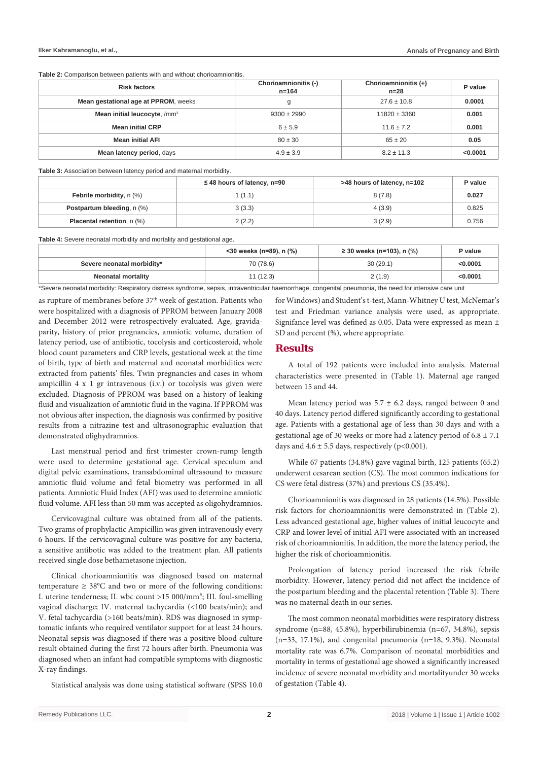**Table 2:** Comparison between patients with and without chorioamnionitis.

| <b>Risk factors</b>                      | Chorioamnionitis (-)<br>$n = 164$ | Chorioamnionitis (+)<br>$n=28$ | P value  |
|------------------------------------------|-----------------------------------|--------------------------------|----------|
| Mean gestational age at PPROM, weeks     | g                                 | $27.6 \pm 10.8$                | 0.0001   |
| Mean initial leucocyte, /mm <sup>3</sup> | $9300 \pm 2990$                   | $11820 \pm 3360$               | 0.001    |
| <b>Mean initial CRP</b>                  | $6 + 5.9$                         | $11.6 \pm 7.2$                 | 0.001    |
| <b>Mean initial AFI</b>                  | $80 \pm 30$                       | $65 \pm 20$                    | 0.05     |
| Mean latency period, days                | $4.9 \pm 3.9$                     | $8.2 \pm 11.3$                 | < 0.0001 |

**Table 3:** Association between latency period and maternal morbidity.

|                                   | $\leq$ 48 hours of latency, n=90 | >48 hours of latency, n=102 | P value |
|-----------------------------------|----------------------------------|-----------------------------|---------|
| <b>Febrile morbidity, n (%)</b>   | (1.1)                            | 8(7.8)                      | 0.027   |
| <b>Postpartum bleeding, n (%)</b> | 3(3.3)                           | 4(3.9)                      | 0.825   |
| <b>Placental retention, n (%)</b> | 2(2.2)                           | 3(2.9)                      | 0.756   |

**Table 4:** Severe neonatal morbidity and mortality and gestational age.

|                            | <30 weeks (n=89), n (%) | $\geq$ 30 weeks (n=103), n (%) | P value  |
|----------------------------|-------------------------|--------------------------------|----------|
| Severe neonatal morbidity* | 70 (78.6)               | 30(29.1)                       | < 0.0001 |
| Neonatal mortality         | 1(12.3)                 | 2(1.9)                         | < 0.0001 |

\*Severe neonatal morbidity: Respiratory distress syndrome, sepsis, intraventricular haemorrhage, congenital pneumonia, the need for intensive care unit

as rupture of membranes before 37<sup>th</sup> week of gestation. Patients who were hospitalized with a diagnosis of PPROM between January 2008 and December 2012 were retrospectively evaluated. Age, gravidaparity, history of prior pregnancies, amniotic volume, duration of latency period, use of antibiotic, tocolysis and corticosteroid, whole blood count parameters and CRP levels, gestational week at the time of birth, type of birth and maternal and neonatal morbidities were extracted from patients' files. Twin pregnancies and cases in whom ampicillin 4 x 1 gr intravenous (i.v.) or tocolysis was given were excluded. Diagnosis of PPROM was based on a history of leaking fluid and visualization of amniotic fluid in the vagina. If PPROM was not obvious after inspection, the diagnosis was confirmed by positive results from a nitrazine test and ultrasonographic evaluation that demonstrated olighydramnios.

Last menstrual period and first trimester crown-rump length were used to determine gestational age. Cervical speculum and digital pelvic examinations, transabdominal ultrasound to measure amniotic fluid volume and fetal biometry was performed in all patients. Amniotic Fluid Index (AFI) was used to determine amniotic fluid volume. AFI less than 50 mm was accepted as oligohydramnios.

Cervicovaginal culture was obtained from all of the patients. Two grams of prophylactic Ampicillin was given intravenously every 6 hours. If the cervicovaginal culture was positive for any bacteria, a sensitive antibotic was added to the treatment plan. All patients received single dose bethametasone injection.

Clinical chorioamnionitis was diagnosed based on maternal temperature  $\geq 38^{\circ}$ C and two or more of the following conditions: I. uterine tenderness; II. wbc count >15 000/mm<sup>3</sup>; III. foul-smelling vaginal discharge; IV. maternal tachycardia (<100 beats/min); and V. fetal tachycardia (>160 beats/min). RDS was diagnosed in symptomatic infants who required ventilator support for at least 24 hours. Neonatal sepsis was diagnosed if there was a positive blood culture result obtained during the first 72 hours after birth. Pneumonia was diagnosed when an infant had compatible symptoms with diagnostic X-ray findings.

Statistical analysis was done using statistical software (SPSS 10.0

for Windows) and Student's t-test, Mann-Whitney U test, McNemar's test and Friedman variance analysis were used, as appropriate. Signifance level was defined as 0.05. Data were expressed as mean ± SD and percent (%), where appropriate.

#### **Results**

A total of 192 patients were included into analysis. Maternal characteristics were presented in (Table 1). Maternal age ranged between 15 and 44.

Mean latency period was  $5.7 \pm 6.2$  days, ranged between 0 and 40 days. Latency period differed significantly according to gestational age. Patients with a gestational age of less than 30 days and with a gestational age of 30 weeks or more had a latency period of  $6.8 \pm 7.1$ days and  $4.6 \pm 5.5$  days, respectively (p<0.001).

While 67 patients (34.8%) gave vaginal birth, 125 patients (65.2) underwent cesarean section (CS). The most common indications for CS were fetal distress (37%) and previous CS (35.4%).

Chorioamnionitis was diagnosed in 28 patients (14.5%). Possible risk factors for chorioamnionitis were demonstrated in (Table 2). Less advanced gestational age, higher values of initial leucocyte and CRP and lower level of initial AFI were associated with an increased risk of chorioamnionitis. In addition, the more the latency period, the higher the risk of chorioamnionitis.

Prolongation of latency period increased the risk febrile morbidity. However, latency period did not affect the incidence of the postpartum bleeding and the placental retention (Table 3). There was no maternal death in our series.

The most common neonatal morbidities were respiratory distress syndrome (n=88, 45.8%), hyperbilirubinemia (n=67, 34.8%), sepsis (n=33, 17.1%), and congenital pneumonia (n=18, 9.3%). Neonatal mortality rate was 6.7%. Comparison of neonatal morbidities and mortality in terms of gestational age showed a significantly increased incidence of severe neonatal morbidity and mortalityunder 30 weeks of gestation (Table 4).